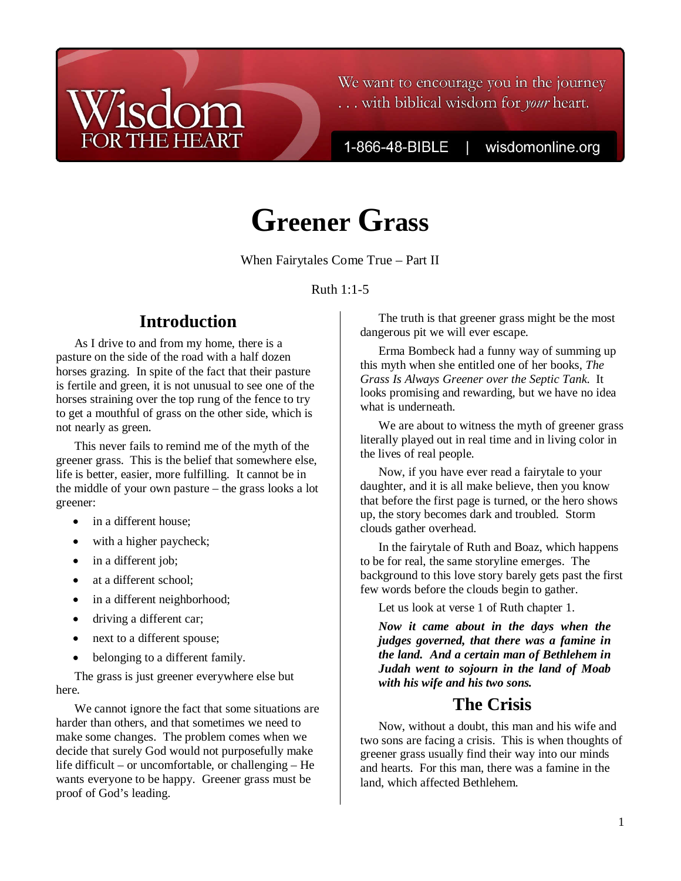## We want to encourage you in the journey ... with biblical wisdom for your heart.

1-866-48-BIBLE

wisdomonline.org

# **Greener Grass**

When Fairytales Come True – Part II

Ruth 1:1-5

## **Introduction**

**THE HEART** 

As I drive to and from my home, there is a pasture on the side of the road with a half dozen horses grazing. In spite of the fact that their pasture is fertile and green, it is not unusual to see one of the horses straining over the top rung of the fence to try to get a mouthful of grass on the other side, which is not nearly as green.

This never fails to remind me of the myth of the greener grass. This is the belief that somewhere else, life is better, easier, more fulfilling. It cannot be in the middle of your own pasture – the grass looks a lot greener:

- in a different house:
- with a higher paycheck;
- in a different job;
- at a different school;
- in a different neighborhood;
- driving a different car;
- next to a different spouse;
- belonging to a different family.

The grass is just greener everywhere else but here.

We cannot ignore the fact that some situations are harder than others, and that sometimes we need to make some changes. The problem comes when we decide that surely God would not purposefully make life difficult – or uncomfortable, or challenging – He wants everyone to be happy. Greener grass must be proof of God's leading.

The truth is that greener grass might be the most dangerous pit we will ever escape.

Erma Bombeck had a funny way of summing up this myth when she entitled one of her books, *The Grass Is Always Greener over the Septic Tank*. It looks promising and rewarding, but we have no idea what is underneath.

We are about to witness the myth of greener grass literally played out in real time and in living color in the lives of real people.

Now, if you have ever read a fairytale to your daughter, and it is all make believe, then you know that before the first page is turned, or the hero shows up, the story becomes dark and troubled. Storm clouds gather overhead.

In the fairytale of Ruth and Boaz, which happens to be for real, the same storyline emerges. The background to this love story barely gets past the first few words before the clouds begin to gather.

Let us look at verse 1 of Ruth chapter 1.

*Now it came about in the days when the judges governed, that there was a famine in the land. And a certain man of Bethlehem in Judah went to sojourn in the land of Moab with his wife and his two sons.* 

## **The Crisis**

Now, without a doubt, this man and his wife and two sons are facing a crisis. This is when thoughts of greener grass usually find their way into our minds and hearts. For this man, there was a famine in the land, which affected Bethlehem.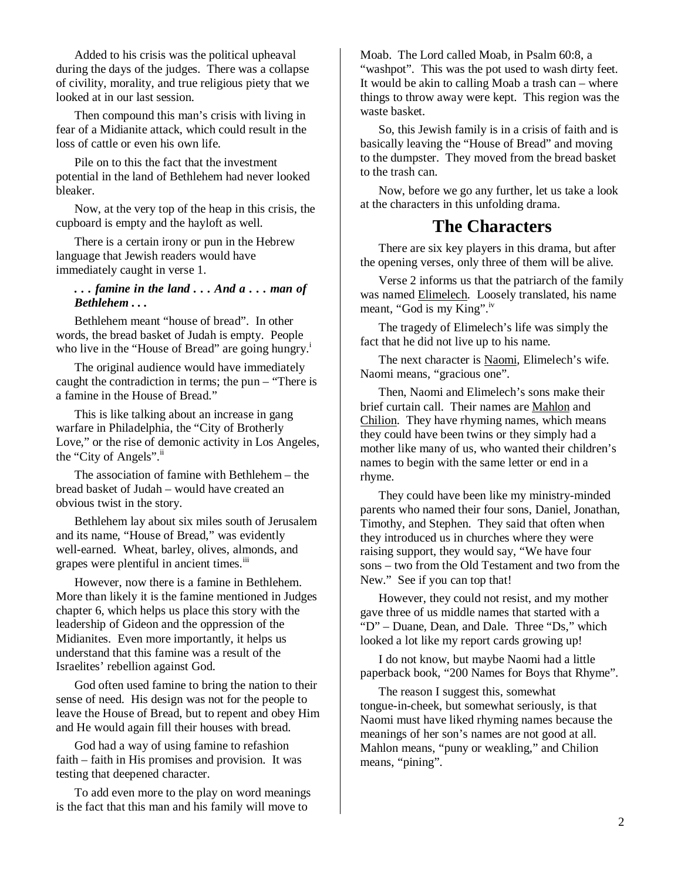Added to his crisis was the political upheaval during the days of the judges. There was a collapse of civility, morality, and true religious piety that we looked at in our last session.

Then compound this man's crisis with living in fear of a Midianite attack, which could result in the loss of cattle or even his own life.

Pile on to this the fact that the investment potential in the land of Bethlehem had never looked bleaker.

Now, at the very top of the heap in this crisis, the cupboard is empty and the hayloft as well.

There is a certain irony or pun in the Hebrew language that Jewish readers would have immediately caught in verse 1.

#### *. . . famine in the land . . . And a . . . man of Bethlehem . . .*

Bethlehem meant "house of bread". In other words, the bread basket of Judah is empty. People who live in the "House of Bread" are going hungry.<sup>i</sup>

The original audience would have immediately caught the contradiction in terms; the pun – "There is a famine in the House of Bread."

This is like talking about an increase in gang warfare in Philadelphia, the "City of Brotherly Love," or the rise of demonic activity in Los Angeles, the "City of Angels".<sup>ii</sup>

The association of famine with Bethlehem – the bread basket of Judah – would have created an obvious twist in the story.

Bethlehem lay about six miles south of Jerusalem and its name, "House of Bread," was evidently well-earned. Wheat, barley, olives, almonds, and grapes were plentiful in ancient times.<sup>iii</sup>

However, now there is a famine in Bethlehem. More than likely it is the famine mentioned in Judges chapter 6, which helps us place this story with the leadership of Gideon and the oppression of the Midianites. Even more importantly, it helps us understand that this famine was a result of the Israelites' rebellion against God.

God often used famine to bring the nation to their sense of need. His design was not for the people to leave the House of Bread, but to repent and obey Him and He would again fill their houses with bread.

God had a way of using famine to refashion faith – faith in His promises and provision. It was testing that deepened character.

To add even more to the play on word meanings is the fact that this man and his family will move to

Moab. The Lord called Moab, in Psalm 60:8, a "washpot". This was the pot used to wash dirty feet. It would be akin to calling Moab a trash can – where things to throw away were kept. This region was the waste basket.

So, this Jewish family is in a crisis of faith and is basically leaving the "House of Bread" and moving to the dumpster. They moved from the bread basket to the trash can.

Now, before we go any further, let us take a look at the characters in this unfolding drama.

## **The Characters**

There are six key players in this drama, but after the opening verses, only three of them will be alive.

Verse 2 informs us that the patriarch of the family was named Elimelech. Loosely translated, his name meant, "God is my King".<sup>iv</sup>

The tragedy of Elimelech's life was simply the fact that he did not live up to his name.

The next character is Naomi, Elimelech's wife. Naomi means, "gracious one".

Then, Naomi and Elimelech's sons make their brief curtain call. Their names are Mahlon and Chilion. They have rhyming names, which means they could have been twins or they simply had a mother like many of us, who wanted their children's names to begin with the same letter or end in a rhyme.

They could have been like my ministry-minded parents who named their four sons, Daniel, Jonathan, Timothy, and Stephen. They said that often when they introduced us in churches where they were raising support, they would say, "We have four sons – two from the Old Testament and two from the New." See if you can top that!

However, they could not resist, and my mother gave three of us middle names that started with a "D" – Duane, Dean, and Dale. Three "Ds," which looked a lot like my report cards growing up!

I do not know, but maybe Naomi had a little paperback book, "200 Names for Boys that Rhyme".

The reason I suggest this, somewhat tongue-in-cheek, but somewhat seriously, is that Naomi must have liked rhyming names because the meanings of her son's names are not good at all. Mahlon means, "puny or weakling," and Chilion means, "pining".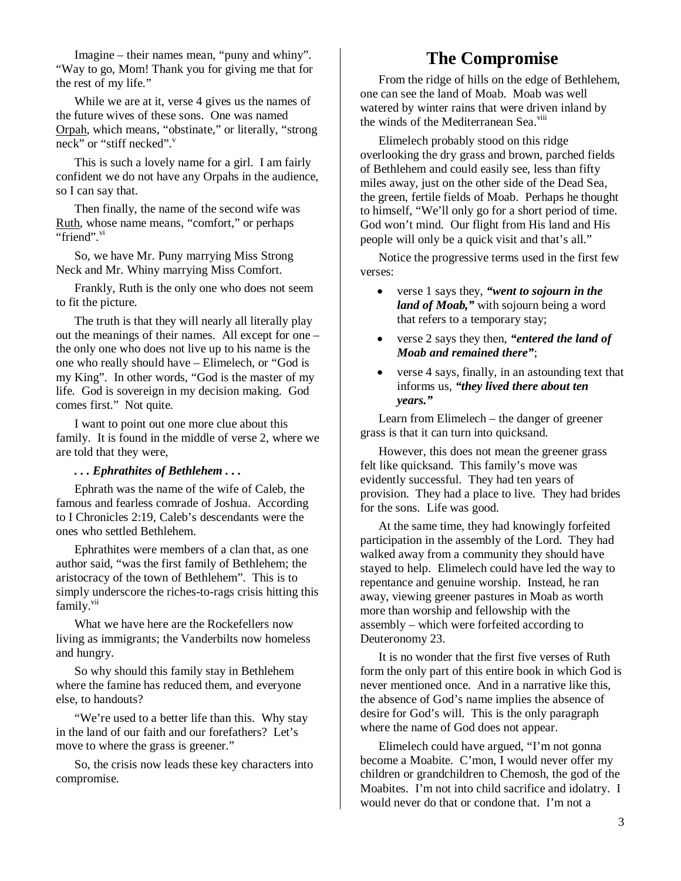Imagine – their names mean, "puny and whiny". "Way to go, Mom! Thank you for giving me that for the rest of my life."

While we are at it, verse 4 gives us the names of the future wives of these sons. One was named Orpah, which means, "obstinate," or literally, "strong neck" or "stiff necked". $v$ 

This is such a lovely name for a girl. I am fairly confident we do not have any Orpahs in the audience, so I can say that.

Then finally, the name of the second wife was Ruth, whose name means, "comfort," or perhaps "friend".<sup>vi</sup>

So, we have Mr. Puny marrying Miss Strong Neck and Mr. Whiny marrying Miss Comfort.

Frankly, Ruth is the only one who does not seem to fit the picture.

The truth is that they will nearly all literally play out the meanings of their names. All except for one – the only one who does not live up to his name is the one who really should have – Elimelech, or "God is my King". In other words, "God is the master of my life. God is sovereign in my decision making. God comes first." Not quite.

I want to point out one more clue about this family. It is found in the middle of verse 2, where we are told that they were,

#### *. . . Ephrathites of Bethlehem . . .*

Ephrath was the name of the wife of Caleb, the famous and fearless comrade of Joshua. According to I Chronicles 2:19, Caleb's descendants were the ones who settled Bethlehem.

Ephrathites were members of a clan that, as one author said, "was the first family of Bethlehem; the aristocracy of the town of Bethlehem". This is to simply underscore the riches-to-rags crisis hitting this family.<sup>vii</sup>

What we have here are the Rockefellers now living as immigrants; the Vanderbilts now homeless and hungry.

So why should this family stay in Bethlehem where the famine has reduced them, and everyone else, to handouts?

"We're used to a better life than this. Why stay in the land of our faith and our forefathers? Let's move to where the grass is greener."

So, the crisis now leads these key characters into compromise.

## **The Compromise**

From the ridge of hills on the edge of Bethlehem, one can see the land of Moab. Moab was well watered by winter rains that were driven inland by the winds of the Mediterranean Sea.<sup>viii</sup>

Elimelech probably stood on this ridge overlooking the dry grass and brown, parched fields of Bethlehem and could easily see, less than fifty miles away, just on the other side of the Dead Sea, the green, fertile fields of Moab. Perhaps he thought to himself, "We'll only go for a short period of time. God won't mind. Our flight from His land and His people will only be a quick visit and that's all."

Notice the progressive terms used in the first few verses:

- verse 1 says they, *"went to sojourn in the land of Moab,"* with sojourn being a word that refers to a temporary stay;
- verse 2 says they then, *"entered the land of Moab and remained there"*;
- verse 4 says, finally, in an astounding text that informs us, *"they lived there about ten years."*

Learn from Elimelech – the danger of greener grass is that it can turn into quicksand.

However, this does not mean the greener grass felt like quicksand. This family's move was evidently successful. They had ten years of provision. They had a place to live. They had brides for the sons. Life was good.

At the same time, they had knowingly forfeited participation in the assembly of the Lord. They had walked away from a community they should have stayed to help. Elimelech could have led the way to repentance and genuine worship. Instead, he ran away, viewing greener pastures in Moab as worth more than worship and fellowship with the assembly – which were forfeited according to Deuteronomy 23.

It is no wonder that the first five verses of Ruth form the only part of this entire book in which God is never mentioned once. And in a narrative like this, the absence of God's name implies the absence of desire for God's will. This is the only paragraph where the name of God does not appear.

Elimelech could have argued, "I'm not gonna become a Moabite. C'mon, I would never offer my children or grandchildren to Chemosh, the god of the Moabites. I'm not into child sacrifice and idolatry. I would never do that or condone that. I'm not a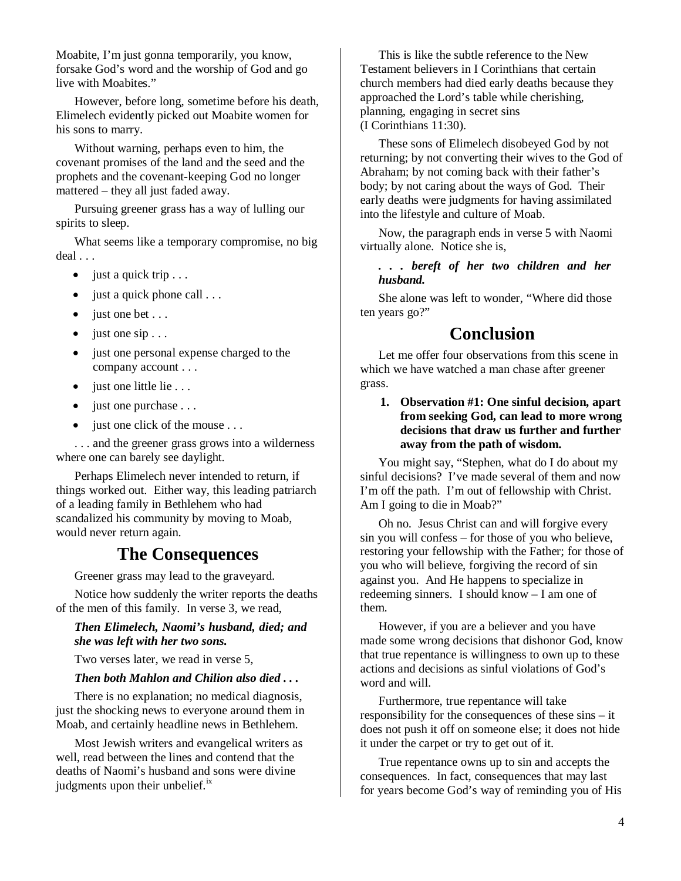Moabite, I'm just gonna temporarily, you know, forsake God's word and the worship of God and go live with Moabites."

However, before long, sometime before his death, Elimelech evidently picked out Moabite women for his sons to marry.

Without warning, perhaps even to him, the covenant promises of the land and the seed and the prophets and the covenant-keeping God no longer mattered – they all just faded away.

Pursuing greener grass has a way of lulling our spirits to sleep.

What seems like a temporary compromise, no big deal . . .

- $\bullet$  just a quick trip . . .
- just a quick phone call . . .
- just one bet . . .
- $\bullet$  just one sip ...
- just one personal expense charged to the company account . . .
- just one little lie . . .
- $\bullet$  just one purchase  $\dots$
- just one click of the mouse . . .

. . . and the greener grass grows into a wilderness where one can barely see daylight.

Perhaps Elimelech never intended to return, if things worked out. Either way, this leading patriarch of a leading family in Bethlehem who had scandalized his community by moving to Moab, would never return again.

### **The Consequences**

Greener grass may lead to the graveyard.

Notice how suddenly the writer reports the deaths of the men of this family. In verse 3, we read,

*Then Elimelech, Naomi's husband, died; and she was left with her two sons.*

Two verses later, we read in verse 5,

#### *Then both Mahlon and Chilion also died . . .*

There is no explanation; no medical diagnosis, just the shocking news to everyone around them in Moab, and certainly headline news in Bethlehem.

Most Jewish writers and evangelical writers as well, read between the lines and contend that the deaths of Naomi's husband and sons were divine judgments upon their unbelief.<sup>ix</sup>

This is like the subtle reference to the New Testament believers in I Corinthians that certain church members had died early deaths because they approached the Lord's table while cherishing, planning, engaging in secret sins (I Corinthians 11:30).

These sons of Elimelech disobeyed God by not returning; by not converting their wives to the God of Abraham; by not coming back with their father's body; by not caring about the ways of God. Their early deaths were judgments for having assimilated into the lifestyle and culture of Moab.

Now, the paragraph ends in verse 5 with Naomi virtually alone. Notice she is,

#### *. . . bereft of her two children and her husband.*

She alone was left to wonder, "Where did those ten years go?"

## **Conclusion**

Let me offer four observations from this scene in which we have watched a man chase after greener grass.

**1. Observation #1: One sinful decision, apart from seeking God, can lead to more wrong decisions that draw us further and further away from the path of wisdom.** 

You might say, "Stephen, what do I do about my sinful decisions? I've made several of them and now I'm off the path. I'm out of fellowship with Christ. Am I going to die in Moab?"

Oh no. Jesus Christ can and will forgive every sin you will confess – for those of you who believe, restoring your fellowship with the Father; for those of you who will believe, forgiving the record of sin against you. And He happens to specialize in redeeming sinners. I should know – I am one of them.

However, if you are a believer and you have made some wrong decisions that dishonor God, know that true repentance is willingness to own up to these actions and decisions as sinful violations of God's word and will.

Furthermore, true repentance will take responsibility for the consequences of these sins – it does not push it off on someone else; it does not hide it under the carpet or try to get out of it.

True repentance owns up to sin and accepts the consequences. In fact, consequences that may last for years become God's way of reminding you of His